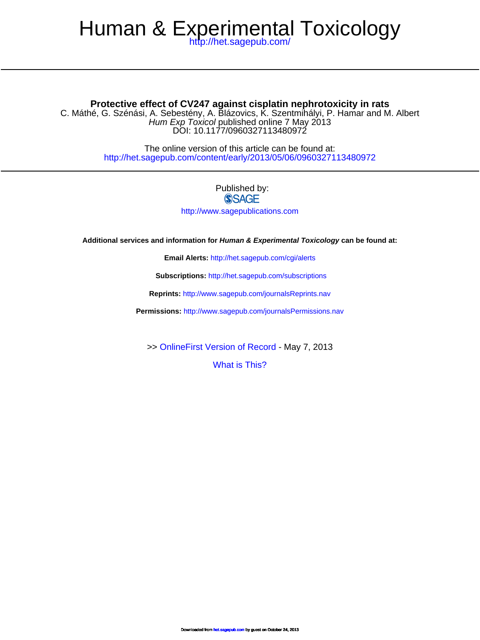# Human & Experimental Toxicology

<http://het.sagepub.com/>

#### **Protective effect of CV247 against cisplatin nephrotoxicity in rats**

DOI: 10.1177/0960327113480972 Hum Exp Toxicol published online 7 May 2013 C. Máthé, G. Szénási, A. Sebestény, A. Blázovics, K. Szentmihályi, P. Hamar and M. Albert

> <http://het.sagepub.com/content/early/2013/05/06/0960327113480972> The online version of this article can be found at:

## Published by:<br>
SAGE

<http://www.sagepublications.com>

**Additional services and information for Human & Experimental Toxicology can be found at:**

**Email Alerts:** <http://het.sagepub.com/cgi/alerts>

**Subscriptions:** <http://het.sagepub.com/subscriptions>

**Reprints:** <http://www.sagepub.com/journalsReprints.nav>

**Permissions:** <http://www.sagepub.com/journalsPermissions.nav>

>> [OnlineFirst Version of Record -](http://het.sagepub.com/content/early/2013/05/06/0960327113480972.full.pdf) May 7, 2013

[What is This?](http://online.sagepub.com/site/sphelp/vorhelp.xhtml)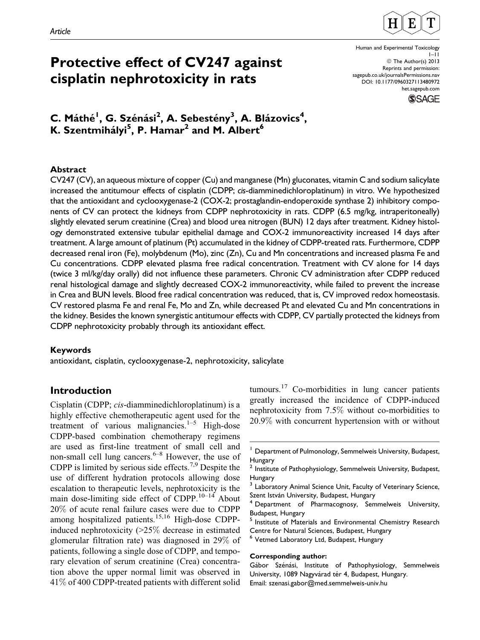

## Protective effect of CV247 against cisplatin nephrotoxicity in rats

Human and Experimental Toxicology 1–11 © The Author(s) 2013 Reprints and permission: [sagepub.co.uk/journalsPermissions.nav](http://www.sagepub.co.uk/journalsPermissions.nav) DOI: 10.1177/0960327113480972 [het.sagepub.com](http://het.sagepub.com)



### C. Máthé<sup>1</sup>, G. Szénási<sup>2</sup>, A. Sebestény<sup>3</sup>, A. Blázovics<sup>4</sup>, K. Szentmihályi $^5$ , P. Hamar $^2$  and M. Albert $^6$

#### Abstract

CV247 (CV), an aqueous mixture of copper (Cu) and manganese (Mn) gluconates, vitamin C and sodium salicylate increased the antitumour effects of cisplatin (CDPP; cis-diamminedichloroplatinum) in vitro. We hypothesized that the antioxidant and cyclooxygenase-2 (COX-2; prostaglandin-endoperoxide synthase 2) inhibitory components of CV can protect the kidneys from CDPP nephrotoxicity in rats. CDPP (6.5 mg/kg, intraperitoneally) slightly elevated serum creatinine (Crea) and blood urea nitrogen (BUN) 12 days after treatment. Kidney histology demonstrated extensive tubular epithelial damage and COX-2 immunoreactivity increased 14 days after treatment. A large amount of platinum (Pt) accumulated in the kidney of CDPP-treated rats. Furthermore, CDPP decreased renal iron (Fe), molybdenum (Mo), zinc (Zn), Cu and Mn concentrations and increased plasma Fe and Cu concentrations. CDPP elevated plasma free radical concentration. Treatment with CV alone for 14 days (twice 3 ml/kg/day orally) did not influence these parameters. Chronic CV administration after CDPP reduced renal histological damage and slightly decreased COX-2 immunoreactivity, while failed to prevent the increase in Crea and BUN levels. Blood free radical concentration was reduced, that is, CV improved redox homeostasis. CV restored plasma Fe and renal Fe, Mo and Zn, while decreased Pt and elevated Cu and Mn concentrations in the kidney. Besides the known synergistic antitumour effects with CDPP, CV partially protected the kidneys from CDPP nephrotoxicity probably through its antioxidant effect.

#### Keywords

antioxidant, cisplatin, cyclooxygenase-2, nephrotoxicity, salicylate

#### Introduction

Cisplatin (CDPP; cis-diamminedichloroplatinum) is a highly effective chemotherapeutic agent used for the treatment of various malignancies. $1-5$  High-dose CDPP-based combination chemotherapy regimens are used as first-line treatment of small cell and non-small cell lung cancers. $6-8$  However, the use of CDPP is limited by serious side effects.<sup>7,9</sup> Despite the use of different hydration protocols allowing dose escalation to therapeutic levels, nephrotoxicity is the main dose-limiting side effect of CDPP. $^{10-14}$  About 20% of acute renal failure cases were due to CDPP among hospitalized patients.<sup>15,16</sup> High-dose CDPPinduced nephrotoxicity (>25% decrease in estimated glomerular filtration rate) was diagnosed in 29% of patients, following a single dose of CDPP, and temporary elevation of serum creatinine (Crea) concentration above the upper normal limit was observed in 41% of 400 CDPP-treated patients with different solid

tumours.<sup>17</sup> Co-morbidities in lung cancer patients greatly increased the incidence of CDPP-induced nephrotoxicity from 7.5% without co-morbidities to 20.9% with concurrent hypertension with or without

Institute of Materials and Environmental Chemistry Research Centre for Natural Sciences, Budapest, Hungary

#### Corresponding author:

Gábor Szénási, Institute of Pathophysiology, Semmelweis University, 1089 Nagyvárad tér 4, Budapest, Hungary. Email: szenasi.gabor@med.semmelweis-univ.hu

Department of Pulmonology, Semmelweis University, Budapest, Hungary

<sup>&</sup>lt;sup>2</sup> Institute of Pathophysiology, Semmelweis University, Budapest, Hungary

Laboratory Animal Science Unit, Faculty of Veterinary Science,

Szent István University, Budapest, Hungary<br><sup>4</sup> Department of Pharmacognosy, Semmelweis University, Budapest, Hungary

<sup>6</sup> Vetmed Laboratory Ltd, Budapest, Hungary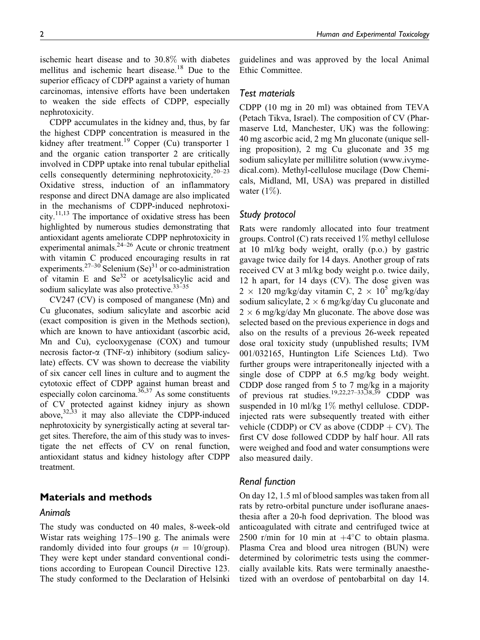superior efficacy of CDPP against a variety of human carcinomas, intensive efforts have been undertaken to weaken the side effects of CDPP, especially nephrotoxicity.

CDPP accumulates in the kidney and, thus, by far the highest CDPP concentration is measured in the kidney after treatment.<sup>19</sup> Copper (Cu) transporter 1 and the organic cation transporter 2 are critically involved in CDPP uptake into renal tubular epithelial cells consequently determining nephrotoxicity.20–23 Oxidative stress, induction of an inflammatory response and direct DNA damage are also implicated in the mechanisms of CDPP-induced nephrotoxicity.<sup>11,13</sup> The importance of oxidative stress has been highlighted by numerous studies demonstrating that antioxidant agents ameliorate CDPP nephrotoxicity in experimental animals.24–26 Acute or chronic treatment with vitamin C produced encouraging results in rat experiments.<sup>27–30</sup> Selenium (Se)<sup>31</sup> or co-administration of vitamin E and  $\text{Se}^{32}$  or acetylsalicylic acid and sodium salicylate was also protective. $33-35$ 

CV247 (CV) is composed of manganese (Mn) and Cu gluconates, sodium salicylate and ascorbic acid (exact composition is given in the Methods section), which are known to have antioxidant (ascorbic acid, Mn and Cu), cyclooxygenase (COX) and tumour necrosis factor- $\alpha$  (TNF- $\alpha$ ) inhibitory (sodium salicylate) effects. CV was shown to decrease the viability of six cancer cell lines in culture and to augment the cytotoxic effect of CDPP against human breast and especially colon carcinoma. $36,37$  As some constituents of CV protected against kidney injury as shown above, $32,33$  it may also alleviate the CDPP-induced nephrotoxicity by synergistically acting at several target sites. Therefore, the aim of this study was to investigate the net effects of CV on renal function, antioxidant status and kidney histology after CDPP treatment.

#### Materials and methods

#### Animals

The study was conducted on 40 males, 8-week-old Wistar rats weighing 175–190 g. The animals were randomly divided into four groups  $(n = 10/\text{group})$ . They were kept under standard conventional conditions according to European Council Directive 123. The study conformed to the Declaration of Helsinki guidelines and was approved by the local Animal

#### Test materials

CDPP (10 mg in 20 ml) was obtained from TEVA (Petach Tikva, Israel). The composition of CV (Pharmaserve Ltd, Manchester, UK) was the following: 40 mg ascorbic acid, 2 mg Mn gluconate (unique selling proposition), 2 mg Cu gluconate and 35 mg sodium salicylate per millilitre solution (www.ivymedical.com). Methyl-cellulose mucilage (Dow Chemicals, Midland, MI, USA) was prepared in distilled water  $(1\%)$ .

#### Study protocol

Rats were randomly allocated into four treatment groups. Control (C) rats received  $1\%$  methyl cellulose at 10 ml/kg body weight, orally (p.o.) by gastric gavage twice daily for 14 days. Another group of rats received CV at 3 ml/kg body weight p.o. twice daily, 12 h apart, for 14 days (CV). The dose given was  $2 \times 120$  mg/kg/day vitamin C,  $2 \times 10^5$  mg/kg/day sodium salicylate,  $2 \times 6$  mg/kg/day Cu gluconate and  $2 \times 6$  mg/kg/day Mn gluconate. The above dose was selected based on the previous experience in dogs and also on the results of a previous 26-week repeated dose oral toxicity study (unpublished results; IVM 001/032165, Huntington Life Sciences Ltd). Two further groups were intraperitoneally injected with a single dose of CDPP at 6.5 mg/kg body weight. CDDP dose ranged from 5 to 7 mg/kg in a majority of previous rat studies.<sup>19,22,27–33,38,39</sup> CDDP was suspended in 10 ml/kg 1% methyl cellulose. CDDPinjected rats were subsequently treated with either vehicle (CDDP) or CV as above (CDDP  $+$  CV). The first CV dose followed CDDP by half hour. All rats were weighed and food and water consumptions were also measured daily.

#### Renal function

On day 12, 1.5 ml of blood samples was taken from all rats by retro-orbital puncture under isoflurane anaesthesia after a 20-h food deprivation. The blood was anticoagulated with citrate and centrifuged twice at 2500 r/min for 10 min at  $+4^{\circ}$ C to obtain plasma. Plasma Crea and blood urea nitrogen (BUN) were determined by colorimetric tests using the commercially available kits. Rats were terminally anaesthetized with an overdose of pentobarbital on day 14.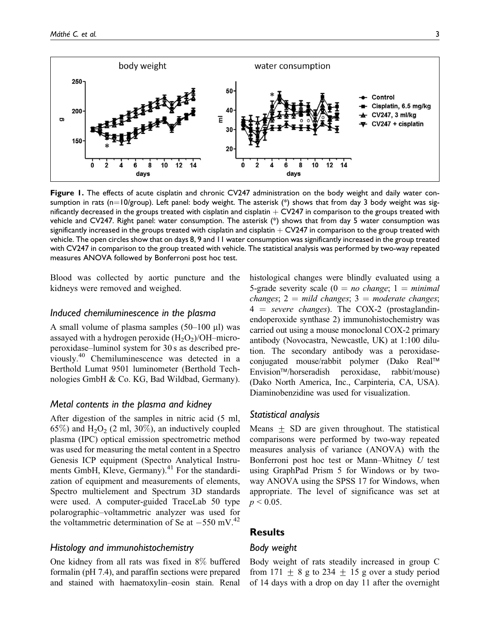

Figure 1. The effects of acute cisplatin and chronic CV247 administration on the body weight and daily water consumption in rats (n=10/group). Left panel: body weight. The asterisk (\*) shows that from day 3 body weight was significantly decreased in the groups treated with cisplatin and cisplatin  $+$  CV247 in comparison to the groups treated with vehicle and CV247. Right panel: water consumption. The asterisk (\*) shows that from day 5 water consumption was significantly increased in the groups treated with cisplatin and cisplatin  $+$  CV247 in comparison to the group treated with vehicle. The open circles show that on days 8, 9 and 11 water consumption was significantly increased in the group treated with CV247 in comparison to the group treated with vehicle. The statistical analysis was performed by two-way repeated measures ANOVA followed by Bonferroni post hoc test.

Blood was collected by aortic puncture and the kidneys were removed and weighed.

#### Induced chemiluminescence in the plasma

A small volume of plasma samples  $(50-100 \mu l)$  was assayed with a hydrogen peroxide  $(H_2O_2)/OH$ –microperoxidase–luminol system for 30 s as described previously.<sup>40</sup> Chemiluminescence was detected in a Berthold Lumat 9501 luminometer (Berthold Technologies GmbH & Co. KG, Bad Wildbad, Germany).

#### Metal contents in the plasma and kidney

After digestion of the samples in nitric acid (5 ml, 65%) and  $H_2O_2$  (2 ml, 30%), an inductively coupled plasma (IPC) optical emission spectrometric method was used for measuring the metal content in a Spectro Genesis ICP equipment (Spectro Analytical Instruments GmbH, Kleve, Germany). $^{41}$  For the standardization of equipment and measurements of elements, Spectro multielement and Spectrum 3D standards were used. A computer-guided TraceLab 50 type polarographic–voltammetric analyzer was used for the voltammetric determination of Se at  $-550$  mV.<sup>42</sup>

#### Histology and immunohistochemistry

One kidney from all rats was fixed in 8% buffered formalin (pH 7.4), and paraffin sections were prepared and stained with haematoxylin–eosin stain. Renal histological changes were blindly evaluated using a 5-grade severity scale ( $0 = no$  change; 1 = minimal changes;  $2 =$  mild changes;  $3 =$  moderate changes;  $4 = severe changes$ ). The COX-2 (prostaglandinendoperoxide synthase 2) immunohistochemistry was carried out using a mouse monoclonal COX-2 primary antibody (Novocastra, Newcastle, UK) at 1:100 dilution. The secondary antibody was a peroxidaseconjugated mouse/rabbit polymer (Dako Real™ Envision™/horseradish peroxidase, rabbit/mouse) (Dako North America, Inc., Carpinteria, CA, USA). Diaminobenzidine was used for visualization.

#### Statistical analysis

Means  $\pm$  SD are given throughout. The statistical comparisons were performed by two-way repeated measures analysis of variance (ANOVA) with the Bonferroni post hoc test or Mann–Whitney U test using GraphPad Prism 5 for Windows or by twoway ANOVA using the SPSS 17 for Windows, when appropriate. The level of significance was set at  $p \le 0.05$ .

#### **Results**

#### Body weight

Body weight of rats steadily increased in group C from 171  $\pm$  8 g to 234  $\pm$  15 g over a study period of 14 days with a drop on day 11 after the overnight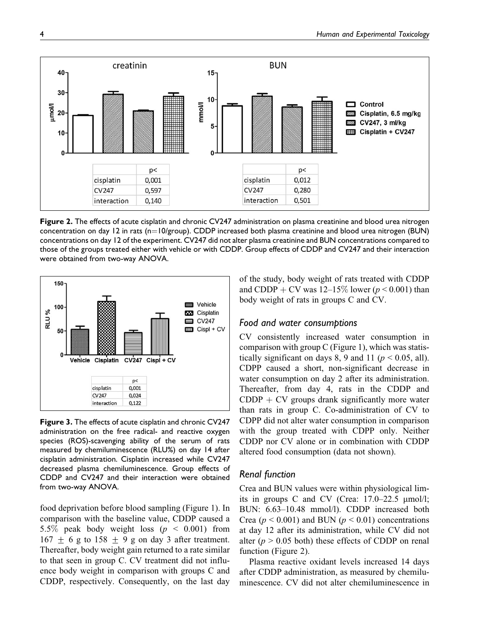

Figure 2. The effects of acute cisplatin and chronic CV247 administration on plasma creatinine and blood urea nitrogen concentration on day 12 in rats ( $n=10$ /group). CDDP increased both plasma creatinine and blood urea nitrogen (BUN) concentrations on day 12 of the experiment. CV247 did not alter plasma creatinine and BUN concentrations compared to those of the groups treated either with vehicle or with CDDP. Group effects of CDDP and CV247 and their interaction were obtained from two-way ANOVA.



Figure 3. The effects of acute cisplatin and chronic CV247 administration on the free radical- and reactive oxygen species (ROS)-scavenging ability of the serum of rats measured by chemiluminescence (RLU%) on day 14 after cisplatin administration. Cisplatin increased while CV247 decreased plasma chemiluminescence. Group effects of CDDP and CV247 and their interaction were obtained from two-way ANOVA.

food deprivation before blood sampling (Figure 1). In comparison with the baseline value, CDDP caused a 5.5% peak body weight loss ( $p \le 0.001$ ) from  $167 \pm 6$  g to  $158 \pm 9$  g on day 3 after treatment. Thereafter, body weight gain returned to a rate similar to that seen in group C. CV treatment did not influence body weight in comparison with groups C and CDDP, respectively. Consequently, on the last day of the study, body weight of rats treated with CDDP and CDDP + CV was  $12-15\%$  lower ( $p < 0.001$ ) than body weight of rats in groups C and CV.

#### Food and water consumptions

CV consistently increased water consumption in comparison with group C (Figure 1), which was statistically significant on days 8, 9 and 11 ( $p < 0.05$ , all). CDPP caused a short, non-significant decrease in water consumption on day 2 after its administration. Thereafter, from day 4, rats in the CDDP and  $CDDP + CV$  groups drank significantly more water than rats in group C. Co-administration of CV to CDPP did not alter water consumption in comparison with the group treated with CDPP only. Neither CDDP nor CV alone or in combination with CDDP altered food consumption (data not shown).

#### Renal function

Crea and BUN values were within physiological limits in groups C and CV (Crea:  $17.0-22.5 \mu$ mol/l; BUN: 6.63–10.48 mmol/l). CDDP increased both Crea ( $p < 0.001$ ) and BUN ( $p < 0.01$ ) concentrations at day 12 after its administration, while CV did not alter ( $p > 0.05$  both) these effects of CDDP on renal function (Figure 2).

Plasma reactive oxidant levels increased 14 days after CDDP administration, as measured by chemiluminescence. CV did not alter chemiluminescence in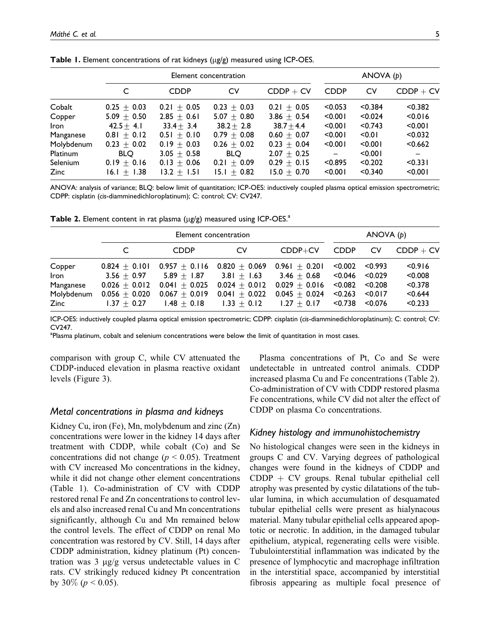|                 | Element concentration |                 |                 |               |                          | ANOVA $(p)$ |                          |  |
|-----------------|-----------------------|-----------------|-----------------|---------------|--------------------------|-------------|--------------------------|--|
|                 | C                     | <b>CDDP</b>     | CV              | $CDDP + CV$   | <b>CDDP</b>              | CV          | $CDDP + CV$              |  |
| Cobalt          | $0.25 + 0.03$         | $0.21 \pm 0.05$ | $0.23 + 0.03$   | $0.21 + 0.05$ | < 0.053                  | < 0.384     | < 0.382                  |  |
| Copper          | $5.09 + 0.50$         | $2.85 + 0.61$   | $5.07 + 0.80$   | $3.86 + 0.54$ | < 0.001                  | < 0.024     | < 0.016                  |  |
| <b>Iron</b>     | $42.5 + 4.1$          | $33.4 + 3.4$    | $38.2 \pm 2.8$  | $38.7 + 4.4$  | < 0.001                  | < 0.743     | < 0.001                  |  |
| Manganese       | $0.81 + 0.12$         | $0.51 + 0.10$   | $0.79 + 0.08$   | $0.60 + 0.07$ | < 0.001                  | < 0.01      | < 0.032                  |  |
| Molybdenum      | $0.23 \pm 0.02$       | $0.19 \pm 0.03$ | $0.26 + 0.02$   | $0.23 + 0.04$ | < 0.001                  | < 0.001     | < 0.662                  |  |
| Platinum        | <b>BLO</b>            | $3.05 + 0.58$   | BLO.            | $2.07 + 0.25$ | $\overline{\phantom{m}}$ | < 0.001     | $\overline{\phantom{m}}$ |  |
| <b>Selenium</b> | $0.19 + 0.16$         | $0.13 + 0.06$   | $0.21 + 0.09$   | $0.29 + 0.15$ | < 0.895                  | < 0.202     | < 0.331                  |  |
| <b>Zinc</b>     | 16.1 $\pm$ 1.38       | $13.2 + 1.51$   | 15.1 $\pm$ 0.82 | $15.0 + 0.70$ | < 0.001                  | < 0.340     | < 0.001                  |  |

**Table 1.** Element concentrations of rat kidneys ( $\mu$ g/g) measured using ICP-OES.

ANOVA: analysis of variance; BLQ: below limit of quantitation; ICP-OES: inductively coupled plasma optical emission spectrometric; CDPP: cisplatin (cis-diamminedichloroplatinum); C: control; CV: CV247.

**Table 2.** Element content in rat plasma ( $\mu$ g/g) measured using ICP-OES.<sup>a</sup>

|             | Element concentration |                 |                 |                 |             | ANOVA $(p)$ |             |  |
|-------------|-----------------------|-----------------|-----------------|-----------------|-------------|-------------|-------------|--|
|             |                       | <b>CDDP</b>     | C٧              | $CDDP+CV$       | <b>CDDP</b> | CV          | $CDDP + CV$ |  |
| Copper      | $0.824 + 0.101$       | $0.957 + 0.116$ | $0.820 + 0.069$ | $0.961 + 0.201$ | < 0.002     | < 0.993     | < 0.916     |  |
| <b>Iron</b> | $3.56 + 0.97$         | $5.89 + 1.87$   | $3.81 + 1.63$   | $3.46 + 0.68$   | < 0.046     | < 0.029     | < 0.008     |  |
| Manganese   | $0.026 + 0.012$       | $0.041 + 0.025$ | $0.024 + 0.012$ | $0.029 + 0.016$ | < 0.082     | < 0.208     | < 0.378     |  |
| Molybdenum  | $0.056 + 0.020$       | $0.067 + 0.019$ | $0.041 + 0.022$ | $0.045 + 0.024$ | < 0.263     | < 0.017     | < 0.644     |  |
| Zinc        | $1.37 + 0.27$         | $1.48 + 0.18$   | $1.33 + 0.12$   | $1.27 + 0.17$   | < 0.738     | < 0.076     | < 0.233     |  |

ICP-OES: inductively coupled plasma optical emission spectrometric; CDPP: cisplatin (cis-diamminedichloroplatinum); C: control; CV: CV247.

<sup>a</sup>Plasma platinum, cobalt and selenium concentrations were below the limit of quantitation in most cases.

comparison with group C, while CV attenuated the CDDP-induced elevation in plasma reactive oxidant levels (Figure 3).

#### Metal concentrations in plasma and kidneys

Kidney Cu, iron (Fe), Mn, molybdenum and zinc (Zn) concentrations were lower in the kidney 14 days after treatment with CDDP, while cobalt (Co) and Se concentrations did not change ( $p < 0.05$ ). Treatment with CV increased Mo concentrations in the kidney, while it did not change other element concentrations (Table 1). Co-administration of CV with CDDP restored renal Fe and Zn concentrations to control levels and also increased renal Cu and Mn concentrations significantly, although Cu and Mn remained below the control levels. The effect of CDDP on renal Mo concentration was restored by CV. Still, 14 days after CDDP administration, kidney platinum (Pt) concentration was  $3 \mu g/g$  versus undetectable values in C rats. CV strikingly reduced kidney Pt concentration by 30\% ( $p < 0.05$ ).

Plasma concentrations of Pt, Co and Se were undetectable in untreated control animals. CDDP increased plasma Cu and Fe concentrations (Table 2). Co-administration of CV with CDDP restored plasma Fe concentrations, while CV did not alter the effect of CDDP on plasma Co concentrations.

#### Kidney histology and immunohistochemistry

No histological changes were seen in the kidneys in groups C and CV. Varying degrees of pathological changes were found in the kidneys of CDDP and  $CDDP + CV$  groups. Renal tubular epithelial cell atrophy was presented by cystic dilatations of the tubular lumina, in which accumulation of desquamated tubular epithelial cells were present as hialynacous material. Many tubular epithelial cells appeared apoptotic or necrotic. In addition, in the damaged tubular epithelium, atypical, regenerating cells were visible. Tubulointerstitial inflammation was indicated by the presence of lymphocytic and macrophage infiltration in the interstitial space, accompanied by interstitial fibrosis appearing as multiple focal presence of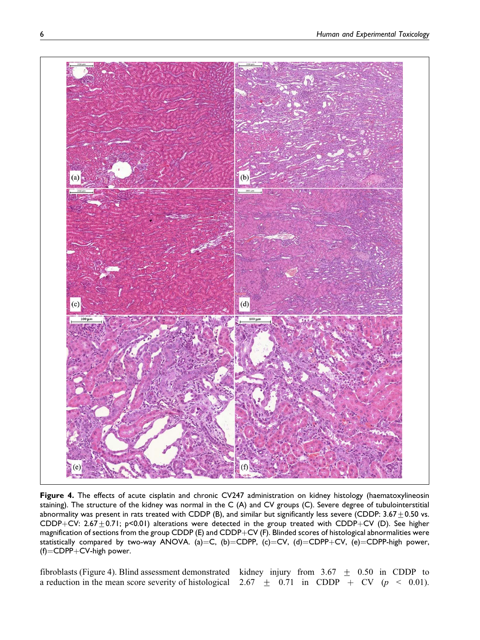

Figure 4. The effects of acute cisplatin and chronic CV247 administration on kidney histology (haematoxylineosin staining). The structure of the kidney was normal in the C (A) and CV groups (C). Severe degree of tubulointerstitial abnormality was present in rats treated with CDDP (B), and similar but significantly less severe (CDDP:  $3.67 \pm 0.50$  vs. CDDP+CV: 2.67 $\pm$ 0.71; p<0.01) alterations were detected in the group treated with CDDP+CV (D). See higher magnification of sections from the group CDDP (E) and CDDP+CV (F). Blinded scores of histological abnormalities were statistically compared by two-way ANOVA. (a)=C, (b)=CDPP, (c)=CV, (d)=CDPP+CV, (e)=CDPP-high power,  $(f)$ =CDPP+CV-high power.

fibroblasts (Figure 4). Blind assessment demonstrated kidney injury from  $3.67 \pm 0.50$  in CDDP to a reduction in the mean score severity of histological 2.67  $\pm$  0.71 in CDDP + CV ( $p$  < 0.01).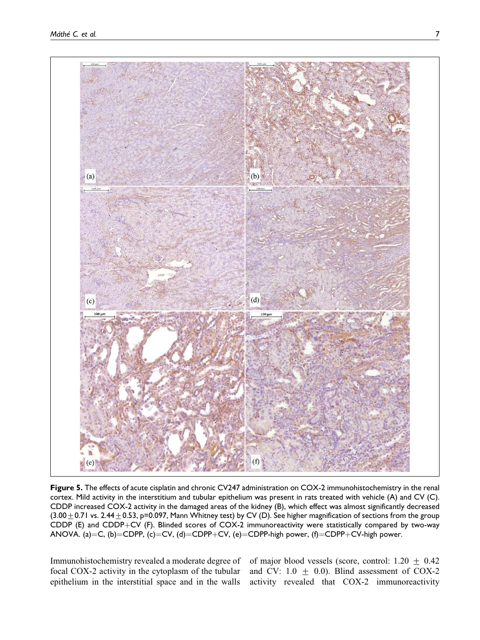

Figure 5. The effects of acute cisplatin and chronic CV247 administration on COX-2 immunohistochemistry in the renal cortex. Mild activity in the interstitium and tubular epithelium was present in rats treated with vehicle (A) and CV (C). CDDP increased COX-2 activity in the damaged areas of the kidney (B), which effect was almost significantly decreased  $(3.00\pm0.71$  vs. 2.44  $\pm$  0.53, p=0.097, Mann Whitney test) by CV (D). See higher magnification of sections from the group CDDP (E) and CDDP+CV (F). Blinded scores of COX-2 immunoreactivity were statistically compared by two-way ANOVA. (a)=C, (b)=CDPP, (c)=CV, (d)=CDPP+CV, (e)=CDPP-high power, (f)=CDPP+CV-high power.

Immunohistochemistry revealed a moderate degree of focal COX-2 activity in the cytoplasm of the tubular epithelium in the interstitial space and in the walls

of major blood vessels (score, control:  $1.20 \pm 0.42$ and CV:  $1.0 \pm 0.0$ ). Blind assessment of COX-2 activity revealed that COX-2 immunoreactivity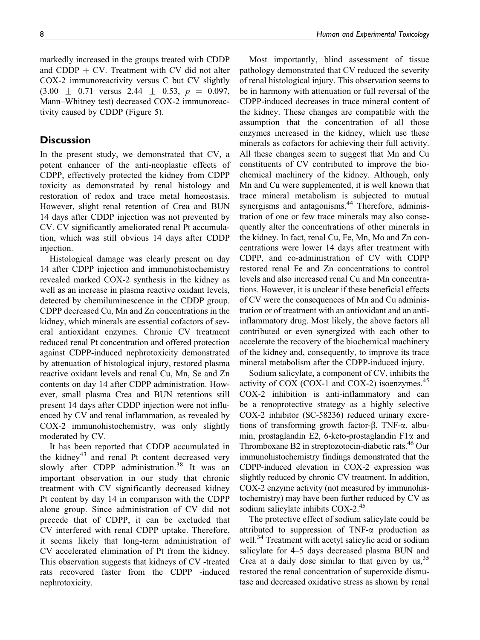markedly increased in the groups treated with CDDP and CDDP  $+$  CV. Treatment with CV did not alter COX-2 immunoreactivity versus C but CV slightly  $(3.00 + 0.71$  versus 2.44 + 0.53,  $p = 0.097$ , Mann–Whitney test) decreased COX-2 immunoreactivity caused by CDDP (Figure 5).

#### **Discussion**

In the present study, we demonstrated that CV, a potent enhancer of the anti-neoplastic effects of CDPP, effectively protected the kidney from CDPP toxicity as demonstrated by renal histology and restoration of redox and trace metal homeostasis. However, slight renal retention of Crea and BUN 14 days after CDDP injection was not prevented by CV. CV significantly ameliorated renal Pt accumulation, which was still obvious 14 days after CDDP injection.

Histological damage was clearly present on day 14 after CDPP injection and immunohistochemistry revealed marked COX-2 synthesis in the kidney as well as an increase in plasma reactive oxidant levels, detected by chemiluminescence in the CDDP group. CDPP decreased Cu, Mn and Zn concentrations in the kidney, which minerals are essential cofactors of several antioxidant enzymes. Chronic CV treatment reduced renal Pt concentration and offered protection against CDPP-induced nephrotoxicity demonstrated by attenuation of histological injury, restored plasma reactive oxidant levels and renal Cu, Mn, Se and Zn contents on day 14 after CDPP administration. However, small plasma Crea and BUN retentions still present 14 days after CDDP injection were not influenced by CV and renal inflammation, as revealed by COX-2 immunohistochemistry, was only slightly moderated by CV.

It has been reported that CDDP accumulated in the kidney<sup>43</sup> and renal Pt content decreased very slowly after CDPP administration.<sup>38</sup> It was an important observation in our study that chronic treatment with CV significantly decreased kidney Pt content by day 14 in comparison with the CDPP alone group. Since administration of CV did not precede that of CDPP, it can be excluded that CV interfered with renal CDPP uptake. Therefore, it seems likely that long-term administration of CV accelerated elimination of Pt from the kidney. This observation suggests that kidneys of CV -treated rats recovered faster from the CDPP -induced nephrotoxicity.

Most importantly, blind assessment of tissue pathology demonstrated that CV reduced the severity of renal histological injury. This observation seems to be in harmony with attenuation or full reversal of the CDPP-induced decreases in trace mineral content of the kidney. These changes are compatible with the assumption that the concentration of all those enzymes increased in the kidney, which use these minerals as cofactors for achieving their full activity. All these changes seem to suggest that Mn and Cu constituents of CV contributed to improve the biochemical machinery of the kidney. Although, only Mn and Cu were supplemented, it is well known that trace mineral metabolism is subjected to mutual synergisms and antagonisms.<sup>44</sup> Therefore, administration of one or few trace minerals may also consequently alter the concentrations of other minerals in the kidney. In fact, renal Cu, Fe, Mn, Mo and Zn concentrations were lower 14 days after treatment with CDPP, and co-administration of CV with CDPP restored renal Fe and Zn concentrations to control levels and also increased renal Cu and Mn concentrations. However, it is unclear if these beneficial effects of CV were the consequences of Mn and Cu administration or of treatment with an antioxidant and an antiinflammatory drug. Most likely, the above factors all contributed or even synergized with each other to accelerate the recovery of the biochemical machinery of the kidney and, consequently, to improve its trace mineral metabolism after the CDPP-induced injury.

Sodium salicylate, a component of CV, inhibits the activity of COX (COX-1 and COX-2) isoenzymes. $45$ COX-2 inhibition is anti-inflammatory and can be a renoprotective strategy as a highly selective COX-2 inhibitor (SC-58236) reduced urinary excretions of transforming growth factor- $\beta$ , TNF- $\alpha$ , albumin, prostaglandin E2, 6-keto-prostaglandin F1 $\alpha$  and Thromboxane B2 in streptozotocin-diabetic rats.<sup>46</sup> Our immunohistochemistry findings demonstrated that the CDPP-induced elevation in COX-2 expression was slightly reduced by chronic CV treatment. In addition, COX-2 enzyme activity (not measured by immunohistochemistry) may have been further reduced by CV as sodium salicylate inhibits COX-2.<sup>45</sup>

The protective effect of sodium salicylate could be attributed to suppression of TNF- $\alpha$  production as well.<sup>34</sup> Treatment with acetyl salicylic acid or sodium salicylate for 4–5 days decreased plasma BUN and Crea at a daily dose similar to that given by  $us,$ <sup>35</sup>, restored the renal concentration of superoxide dismutase and decreased oxidative stress as shown by renal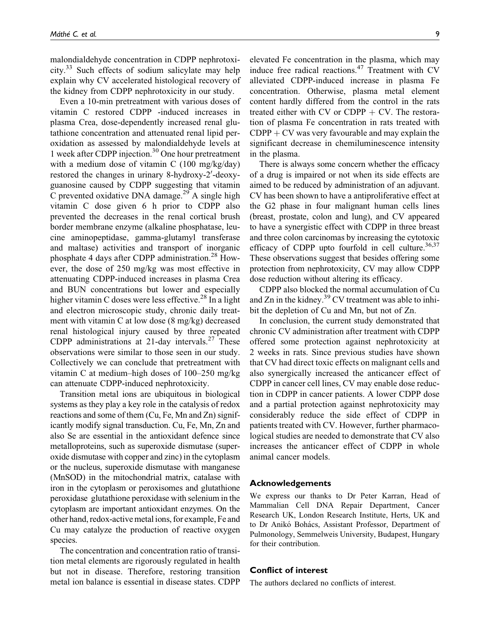malondialdehyde concentration in CDPP nephrotoxicity.33 Such effects of sodium salicylate may help explain why CV accelerated histological recovery of the kidney from CDPP nephrotoxicity in our study.

Even a 10-min pretreatment with various doses of vitamin C restored CDPP -induced increases in plasma Crea, dose-dependently increased renal glutathione concentration and attenuated renal lipid peroxidation as assessed by malondialdehyde levels at 1 week after CDPP injection.<sup>30</sup> One hour pretreatment with a medium dose of vitamin C (100 mg/kg/day) restored the changes in urinary 8-hydroxy-2'-deoxyguanosine caused by CDPP suggesting that vitamin C prevented oxidative DNA damage.<sup>29</sup> A single high vitamin C dose given 6 h prior to CDPP also prevented the decreases in the renal cortical brush border membrane enzyme (alkaline phosphatase, leucine aminopeptidase, gamma-glutamyl transferase and maltase) activities and transport of inorganic phosphate 4 days after CDPP administration.<sup>28</sup> However, the dose of 250 mg/kg was most effective in attenuating CDPP-induced increases in plasma Crea and BUN concentrations but lower and especially higher vitamin C doses were less effective.<sup>28</sup> In a light and electron microscopic study, chronic daily treatment with vitamin C at low dose (8 mg/kg) decreased renal histological injury caused by three repeated CDPP administrations at 21-day intervals.<sup>27</sup> These observations were similar to those seen in our study. Collectively we can conclude that pretreatment with vitamin C at medium–high doses of 100–250 mg/kg can attenuate CDPP-induced nephrotoxicity.

Transition metal ions are ubiquitous in biological systems as they play a key role in the catalysis of redox reactions and some of them (Cu, Fe, Mn and Zn) significantly modify signal transduction. Cu, Fe, Mn, Zn and also Se are essential in the antioxidant defence since metalloproteins, such as superoxide dismutase (superoxide dismutase with copper and zinc) in the cytoplasm or the nucleus, superoxide dismutase with manganese (MnSOD) in the mitochondrial matrix, catalase with iron in the cytoplasm or peroxisomes and glutathione peroxidase glutathione peroxidase with selenium in the cytoplasm are important antioxidant enzymes. On the other hand, redox-active metal ions, for example, Fe and Cu may catalyze the production of reactive oxygen species.

The concentration and concentration ratio of transition metal elements are rigorously regulated in health but not in disease. Therefore, restoring transition metal ion balance is essential in disease states. CDPP

elevated Fe concentration in the plasma, which may induce free radical reactions.<sup>47</sup> Treatment with CV alleviated CDPP-induced increase in plasma Fe concentration. Otherwise, plasma metal element content hardly differed from the control in the rats treated either with CV or CDPP  $+$  CV. The restoration of plasma Fe concentration in rats treated with  $CDPP + CV$  was very favourable and may explain the significant decrease in chemiluminescence intensity in the plasma.

There is always some concern whether the efficacy of a drug is impaired or not when its side effects are aimed to be reduced by administration of an adjuvant. CV has been shown to have a antiproliferative effect at the G2 phase in four malignant human cells lines (breast, prostate, colon and lung), and CV appeared to have a synergistic effect with CDPP in three breast and three colon carcinomas by increasing the cytotoxic efficacy of CDPP upto fourfold in cell culture. $36,37$ These observations suggest that besides offering some protection from nephrotoxicity, CV may allow CDPP dose reduction without altering its efficacy.

CDPP also blocked the normal accumulation of Cu and  $Zn$  in the kidney.<sup>39</sup> CV treatment was able to inhibit the depletion of Cu and Mn, but not of Zn.

In conclusion, the current study demonstrated that chronic CV administration after treatment with CDPP offered some protection against nephrotoxicity at 2 weeks in rats. Since previous studies have shown that CV had direct toxic effects on malignant cells and also synergically increased the anticancer effect of CDPP in cancer cell lines, CV may enable dose reduction in CDPP in cancer patients. A lower CDPP dose and a partial protection against nephrotoxicity may considerably reduce the side effect of CDPP in patients treated with CV. However, further pharmacological studies are needed to demonstrate that CV also increases the anticancer effect of CDPP in whole animal cancer models.

#### Acknowledgements

We express our thanks to Dr Peter Karran, Head of Mammalian Cell DNA Repair Department, Cancer Research UK, London Research Institute, Herts, UK and to Dr Anikó Bohács, Assistant Professor, Department of Pulmonology, Semmelweis University, Budapest, Hungary for their contribution.

#### Conflict of interest

The authors declared no conflicts of interest.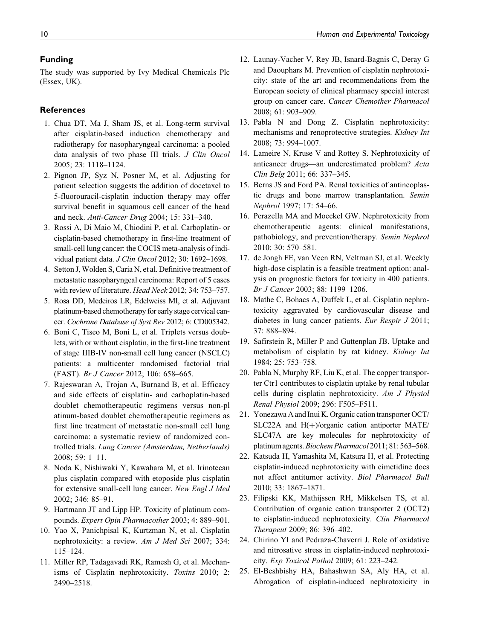#### Funding

The study was supported by Ivy Medical Chemicals Plc (Essex, UK).

#### References

- 1. Chua DT, Ma J, Sham JS, et al. Long-term survival after cisplatin-based induction chemotherapy and radiotherapy for nasopharyngeal carcinoma: a pooled data analysis of two phase III trials. J Clin Oncol 2005; 23: 1118–1124.
- 2. Pignon JP, Syz N, Posner M, et al. Adjusting for patient selection suggests the addition of docetaxel to 5-fluorouracil-cisplatin induction therapy may offer survival benefit in squamous cell cancer of the head and neck. Anti-Cancer Drug 2004; 15: 331–340.
- 3. Rossi A, Di Maio M, Chiodini P, et al. Carboplatin- or cisplatin-based chemotherapy in first-line treatment of small-cell lung cancer: the COCIS meta-analysis of individual patient data. J Clin Oncol 2012; 30: 1692-1698.
- 4. Setton J,Wolden S, Caria N, et al. Definitive treatment of metastatic nasopharyngeal carcinoma: Report of 5 cases with review of literature. Head Neck 2012; 34: 753-757.
- 5. Rosa DD, Medeiros LR, Edelweiss MI, et al. Adjuvant platinum-based chemotherapy for early stage cervical cancer. Cochrane Database of Syst Rev 2012; 6: CD005342.
- 6. Boni C, Tiseo M, Boni L, et al. Triplets versus doublets, with or without cisplatin, in the first-line treatment of stage IIIB-IV non-small cell lung cancer (NSCLC) patients: a multicenter randomised factorial trial (FAST). Br J Cancer 2012; 106: 658–665.
- 7. Rajeswaran A, Trojan A, Burnand B, et al. Efficacy and side effects of cisplatin- and carboplatin-based doublet chemotherapeutic regimens versus non-pl atinum-based doublet chemotherapeutic regimens as first line treatment of metastatic non-small cell lung carcinoma: a systematic review of randomized controlled trials. Lung Cancer (Amsterdam, Netherlands) 2008; 59: 1–11.
- 8. Noda K, Nishiwaki Y, Kawahara M, et al. Irinotecan plus cisplatin compared with etoposide plus cisplatin for extensive small-cell lung cancer. New Engl J Med 2002; 346: 85–91.
- 9. Hartmann JT and Lipp HP. Toxicity of platinum compounds. Expert Opin Pharmacother 2003; 4: 889–901.
- 10. Yao X, Panichpisal K, Kurtzman N, et al. Cisplatin nephrotoxicity: a review. Am J Med Sci 2007; 334: 115–124.
- 11. Miller RP, Tadagavadi RK, Ramesh G, et al. Mechanisms of Cisplatin nephrotoxicity. Toxins 2010; 2: 2490–2518.
- 12. Launay-Vacher V, Rey JB, Isnard-Bagnis C, Deray G and Daouphars M. Prevention of cisplatin nephrotoxicity: state of the art and recommendations from the European society of clinical pharmacy special interest group on cancer care. Cancer Chemother Pharmacol 2008; 61: 903–909.
- 13. Pabla N and Dong Z. Cisplatin nephrotoxicity: mechanisms and renoprotective strategies. Kidney Int 2008; 73: 994–1007.
- 14. Lameire N, Kruse V and Rottey S. Nephrotoxicity of anticancer drugs—an underestimated problem? Acta Clin Belg 2011; 66: 337–345.
- 15. Berns JS and Ford PA. Renal toxicities of antineoplastic drugs and bone marrow transplantation. Semin Nephrol 1997; 17: 54–66.
- 16. Perazella MA and Moeckel GW. Nephrotoxicity from chemotherapeutic agents: clinical manifestations, pathobiology, and prevention/therapy. Semin Nephrol 2010; 30: 570–581.
- 17. de Jongh FE, van Veen RN, Veltman SJ, et al. Weekly high-dose cisplatin is a feasible treatment option: analysis on prognostic factors for toxicity in 400 patients. Br J Cancer 2003; 88: 1199–1206.
- 18. Mathe C, Bohacs A, Duffek L, et al. Cisplatin nephrotoxicity aggravated by cardiovascular disease and diabetes in lung cancer patients. Eur Respir J 2011; 37: 888–894.
- 19. Safirstein R, Miller P and Guttenplan JB. Uptake and metabolism of cisplatin by rat kidney. Kidney Int 1984; 25: 753–758.
- 20. Pabla N, Murphy RF, Liu K, et al. The copper transporter Ctr1 contributes to cisplatin uptake by renal tubular cells during cisplatin nephrotoxicity. Am J Physiol Renal Physiol 2009; 296: F505–F511.
- 21. Yonezawa A and Inui K. Organic cation transporter OCT/ SLC22A and  $H(+)$ /organic cation antiporter MATE/ SLC47A are key molecules for nephrotoxicity of platinum agents.Biochem Pharmacol 2011; 81: 563–568.
- 22. Katsuda H, Yamashita M, Katsura H, et al. Protecting cisplatin-induced nephrotoxicity with cimetidine does not affect antitumor activity. Biol Pharmacol Bull 2010; 33: 1867–1871.
- 23. Filipski KK, Mathijssen RH, Mikkelsen TS, et al. Contribution of organic cation transporter 2 (OCT2) to cisplatin-induced nephrotoxicity. Clin Pharmacol Therapeut 2009; 86: 396–402.
- 24. Chirino YI and Pedraza-Chaverri J. Role of oxidative and nitrosative stress in cisplatin-induced nephrotoxicity. Exp Toxicol Pathol 2009; 61: 223–242.
- 25. El-Beshbishy HA, Bahashwan SA, Aly HA, et al. Abrogation of cisplatin-induced nephrotoxicity in